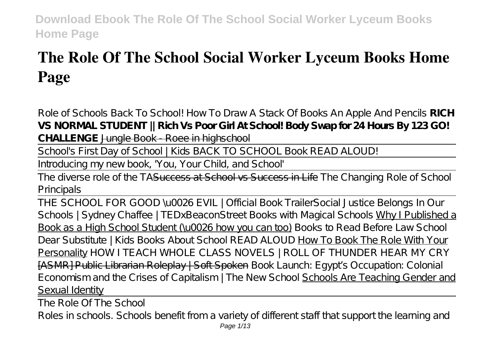# **The Role Of The School Social Worker Lyceum Books Home Page**

*Role of Schools Back To School! How To Draw A Stack Of Books An Apple And Pencils* **RICH VS NORMAL STUDENT || Rich Vs Poor Girl At School! Body Swap for 24 Hours By 123 GO! CHALLENGE** Jungle Book - Roee in highschool

School's First Day of School | Kids BACK TO SCHOOL Book READ ALOUD!

Introducing my new book, 'You, Your Child, and School'

The diverse role of the TASuccess at School vs Success in Life The Changing Role of School Principals

THE SCHOOL FOR GOOD \u0026 EVIL | Official Book Trailer*Social Justice Belongs In Our Schools | Sydney Chaffee | TEDxBeaconStreet* Books with Magical Schools Why I Published a Book as a High School Student (\u0026 how you can too) *Books to Read Before Law School Dear Substitute | Kids Books About School READ ALOUD* How To Book The Role With Your Personality *HOW I TEACH WHOLE CLASS NOVELS | ROLL OF THUNDER HEAR MY CRY* [ASMR] Public Librarian Roleplay | Soft Spoken Book Launch: Egypt's Occupation: Colonial Economism and the Crises of Capitalism | The New School Schools Are Teaching Gender and Sexual Identity

The Role Of The School Roles in schools. Schools benefit from a variety of different staff that support the learning and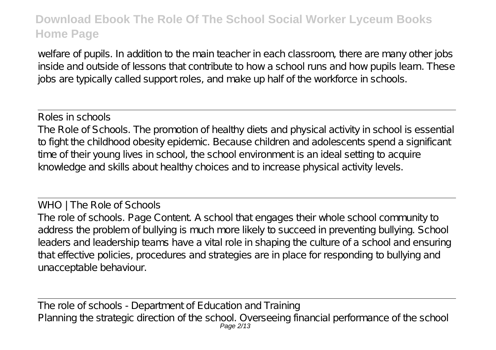welfare of pupils. In addition to the main teacher in each classroom, there are many other jobs inside and outside of lessons that contribute to how a school runs and how pupils learn. These jobs are typically called support roles, and make up half of the workforce in schools.

Roles in schools The Role of Schools. The promotion of healthy diets and physical activity in school is essential to fight the childhood obesity epidemic. Because children and adolescents spend a significant time of their young lives in school, the school environment is an ideal setting to acquire knowledge and skills about healthy choices and to increase physical activity levels.

WHO | The Role of Schools The role of schools. Page Content. A school that engages their whole school community to address the problem of bullying is much more likely to succeed in preventing bullying. School leaders and leadership teams have a vital role in shaping the culture of a school and ensuring that effective policies, procedures and strategies are in place for responding to bullying and unacceptable behaviour.

The role of schools - Department of Education and Training Planning the strategic direction of the school. Overseeing financial performance of the school Page 2/13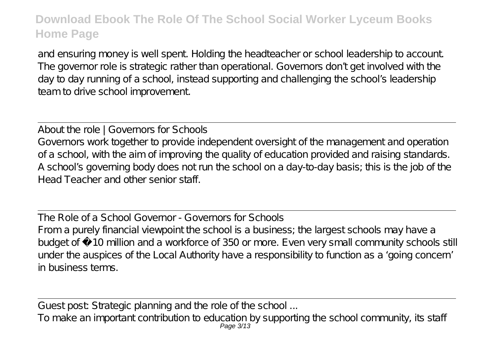and ensuring money is well spent. Holding the headteacher or school leadership to account. The governor role is strategic rather than operational. Governors don't get involved with the day to day running of a school, instead supporting and challenging the school's leadership team to drive school improvement.

About the role | Governors for Schools Governors work together to provide independent oversight of the management and operation of a school, with the aim of improving the quality of education provided and raising standards. A school's governing body does not run the school on a day-to-day basis; this is the job of the Head Teacher and other senior staff.

The Role of a School Governor - Governors for Schools From a purely financial viewpoint the school is a business; the largest schools may have a budget of £10 million and a workforce of 350 or more. Even very small community schools still under the auspices of the Local Authority have a responsibility to function as a 'going concern' in business terms.

Guest post: Strategic planning and the role of the school ... To make an important contribution to education by supporting the school community, its staff Page 3/13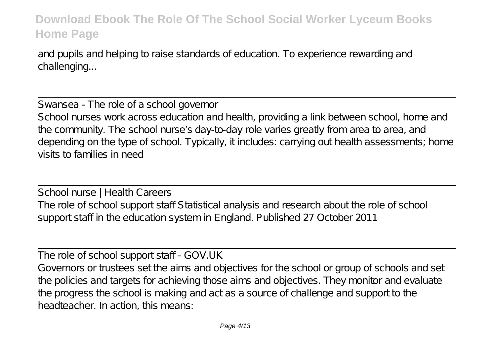and pupils and helping to raise standards of education. To experience rewarding and challenging...

Swansea - The role of a school governor School nurses work across education and health, providing a link between school, home and the community. The school nurse's day-to-day role varies greatly from area to area, and depending on the type of school. Typically, it includes: carrying out health assessments; home visits to families in need

School nurse | Health Careers The role of school support staff Statistical analysis and research about the role of school support staff in the education system in England. Published 27 October 2011

The role of school support staff - GOV.UK Governors or trustees set the aims and objectives for the school or group of schools and set the policies and targets for achieving those aims and objectives. They monitor and evaluate the progress the school is making and act as a source of challenge and support to the headteacher. In action, this means: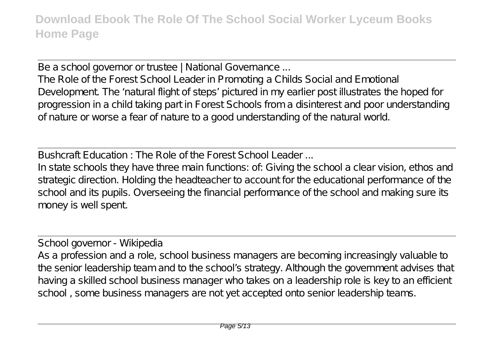Be a school governor or trustee | National Governance ...

The Role of the Forest School Leader in Promoting a Childs Social and Emotional Development. The 'natural flight of steps' pictured in my earlier post illustrates the hoped for progression in a child taking part in Forest Schools from a disinterest and poor understanding of nature or worse a fear of nature to a good understanding of the natural world.

Bushcraft Education : The Role of the Forest School Leader ...

In state schools they have three main functions: of: Giving the school a clear vision, ethos and strategic direction. Holding the headteacher to account for the educational performance of the school and its pupils. Overseeing the financial performance of the school and making sure its money is well spent.

School governor - Wikipedia

As a profession and a role, school business managers are becoming increasingly valuable to the senior leadership team and to the school's strategy. Although the government advises that having a skilled school business manager who takes on a leadership role is key to an efficient school , some business managers are not yet accepted onto senior leadership teams.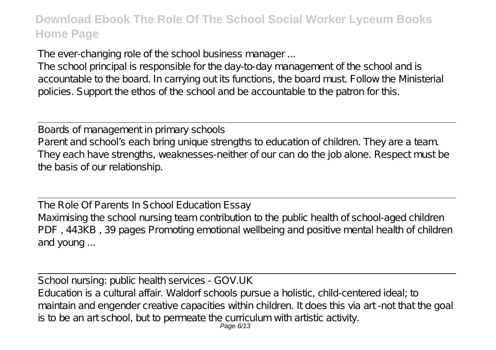The ever-changing role of the school business manager ...

The school principal is responsible for the day-to-day management of the school and is accountable to the board. In carrying out its functions, the board must. Follow the Ministerial policies. Support the ethos of the school and be accountable to the patron for this.

Boards of management in primary schools Parent and school's each bring unique strengths to education of children. They are a team. They each have strengths, weaknesses-neither of our can do the job alone. Respect must be the basis of our relationship.

The Role Of Parents In School Education Essay Maximising the school nursing team contribution to the public health of school-aged children PDF, 443KB, 39 pages Promoting emotional wellbeing and positive mental health of children and young ...

School nursing: public health services - GOV.UK Education is a cultural affair. Waldorf schools pursue a holistic, child-centered ideal; to maintain and engender creative capacities within children. It does this via art -not that the goal is to be an art school, but to permeate the curriculum with artistic activity.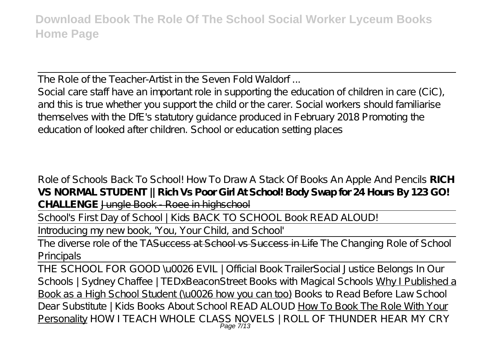The Role of the Teacher-Artist in the Seven Fold Waldorf ...

Social care staff have an important role in supporting the education of children in care (CiC), and this is true whether you support the child or the carer. Social workers should familiarise themselves with the DfE's statutory guidance produced in February 2018 Promoting the education of looked after children. School or education setting places

*Role of Schools Back To School! How To Draw A Stack Of Books An Apple And Pencils* **RICH VS NORMAL STUDENT || Rich Vs Poor Girl At School! Body Swap for 24 Hours By 123 GO! CHALLENGE** Jungle Book - Roee in highschool

School's First Day of School | Kids BACK TO SCHOOL Book READ ALOUD!

Introducing my new book, 'You, Your Child, and School'

The diverse role of the TASuccess at School vs Success in Life The Changing Role of School Principals

THE SCHOOL FOR GOOD \u0026 EVIL | Official Book Trailer*Social Justice Belongs In Our Schools | Sydney Chaffee | TEDxBeaconStreet* Books with Magical Schools Why I Published a Book as a High School Student (\u0026 how you can too) *Books to Read Before Law School Dear Substitute | Kids Books About School READ ALOUD* How To Book The Role With Your Personality *HOW I TEACH WHOLE CLASS NOVELS | ROLL OF THUNDER HEAR MY CRY* Page 7/13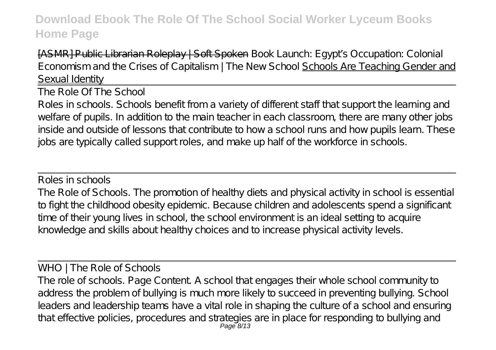[ASMR] Public Librarian Roleplay | Soft Spoken Book Launch: Egypt's Occupation: Colonial Economism and the Crises of Capitalism | The New School Schools Are Teaching Gender and Sexual Identity

The Role Of The School

Roles in schools. Schools benefit from a variety of different staff that support the learning and welfare of pupils. In addition to the main teacher in each classroom, there are many other jobs inside and outside of lessons that contribute to how a school runs and how pupils learn. These jobs are typically called support roles, and make up half of the workforce in schools.

Roles in schools The Role of Schools. The promotion of healthy diets and physical activity in school is essential to fight the childhood obesity epidemic. Because children and adolescents spend a significant time of their young lives in school, the school environment is an ideal setting to acquire knowledge and skills about healthy choices and to increase physical activity levels.

WHO | The Role of Schools The role of schools. Page Content. A school that engages their whole school community to address the problem of bullying is much more likely to succeed in preventing bullying. School leaders and leadership teams have a vital role in shaping the culture of a school and ensuring that effective policies, procedures and strategies are in place for responding to bullying and Page 8/13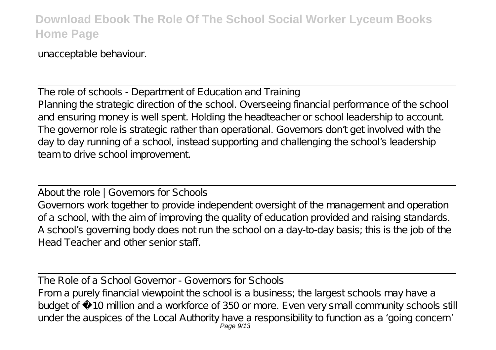unacceptable behaviour.

The role of schools - Department of Education and Training Planning the strategic direction of the school. Overseeing financial performance of the school and ensuring money is well spent. Holding the headteacher or school leadership to account. The governor role is strategic rather than operational. Governors don't get involved with the day to day running of a school, instead supporting and challenging the school's leadership team to drive school improvement.

About the role | Governors for Schools Governors work together to provide independent oversight of the management and operation of a school, with the aim of improving the quality of education provided and raising standards. A school's governing body does not run the school on a day-to-day basis; this is the job of the Head Teacher and other senior staff.

The Role of a School Governor - Governors for Schools From a purely financial viewpoint the school is a business; the largest schools may have a budget of £10 million and a workforce of 350 or more. Even very small community schools still under the auspices of the Local Authority have a responsibility to function as a 'going concern' Page 9/13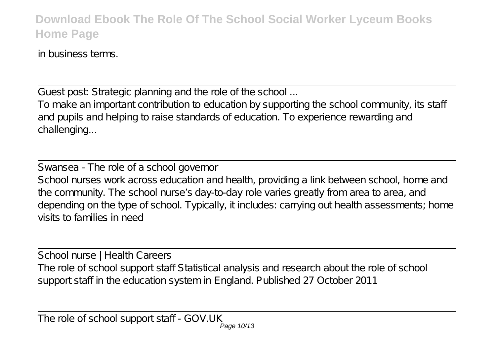in business terms.

Guest post: Strategic planning and the role of the school ...

To make an important contribution to education by supporting the school community, its staff and pupils and helping to raise standards of education. To experience rewarding and challenging...

Swansea - The role of a school governor School nurses work across education and health, providing a link between school, home and the community. The school nurse's day-to-day role varies greatly from area to area, and depending on the type of school. Typically, it includes: carrying out health assessments; home visits to families in need

School nurse | Health Careers The role of school support staff Statistical analysis and research about the role of school support staff in the education system in England. Published 27 October 2011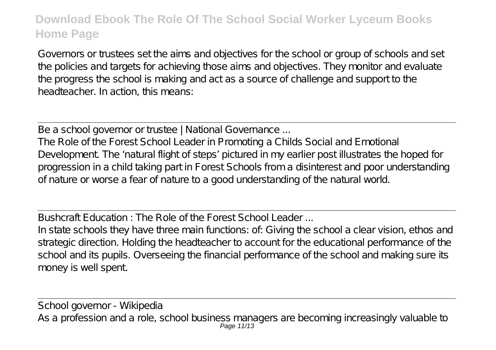Governors or trustees set the aims and objectives for the school or group of schools and set the policies and targets for achieving those aims and objectives. They monitor and evaluate the progress the school is making and act as a source of challenge and support to the headteacher. In action, this means:

Be a school governor or trustee | National Governance ...

The Role of the Forest School Leader in Promoting a Childs Social and Emotional Development. The 'natural flight of steps' pictured in my earlier post illustrates the hoped for progression in a child taking part in Forest Schools from a disinterest and poor understanding of nature or worse a fear of nature to a good understanding of the natural world.

Bushcraft Education : The Role of the Forest School Leader ...

In state schools they have three main functions: of: Giving the school a clear vision, ethos and strategic direction. Holding the headteacher to account for the educational performance of the school and its pupils. Overseeing the financial performance of the school and making sure its money is well spent.

School governor - Wikipedia As a profession and a role, school business managers are becoming increasingly valuable to<br>Page 11/13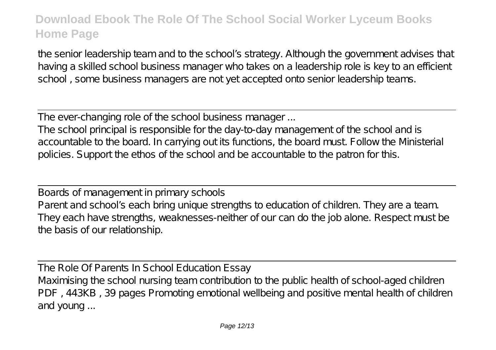the senior leadership team and to the school's strategy. Although the government advises that having a skilled school business manager who takes on a leadership role is key to an efficient school , some business managers are not yet accepted onto senior leadership teams.

The ever-changing role of the school business manager ...

The school principal is responsible for the day-to-day management of the school and is accountable to the board. In carrying out its functions, the board must. Follow the Ministerial policies. Support the ethos of the school and be accountable to the patron for this.

Boards of management in primary schools Parent and school's each bring unique strengths to education of children. They are a team. They each have strengths, weaknesses-neither of our can do the job alone. Respect must be the basis of our relationship.

The Role Of Parents In School Education Essay Maximising the school nursing team contribution to the public health of school-aged children PDF , 443KB , 39 pages Promoting emotional wellbeing and positive mental health of children and young ...